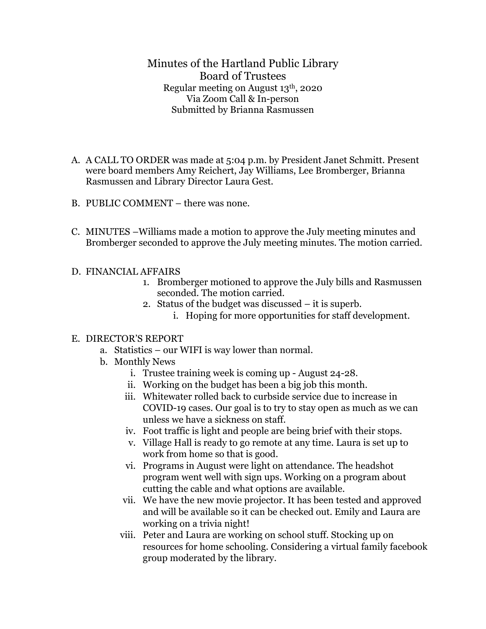Minutes of the Hartland Public Library Board of Trustees Regular meeting on August 13th, 2020 Via Zoom Call & In-person Submitted by Brianna Rasmussen

- A. A CALL TO ORDER was made at 5:04 p.m. by President Janet Schmitt. Present were board members Amy Reichert, Jay Williams, Lee Bromberger, Brianna Rasmussen and Library Director Laura Gest.
- B. PUBLIC COMMENT there was none.
- C. MINUTES –Williams made a motion to approve the July meeting minutes and Bromberger seconded to approve the July meeting minutes. The motion carried.

## D. FINANCIAL AFFAIRS

- 1. Bromberger motioned to approve the July bills and Rasmussen seconded. The motion carried.
- 2. Status of the budget was discussed it is superb.
	- i. Hoping for more opportunities for staff development.

## E. DIRECTOR'S REPORT

- a. Statistics our WIFI is way lower than normal.
- b. Monthly News
	- i. Trustee training week is coming up August 24-28.
	- ii. Working on the budget has been a big job this month.
	- iii. Whitewater rolled back to curbside service due to increase in COVID-19 cases. Our goal is to try to stay open as much as we can unless we have a sickness on staff.
	- iv. Foot traffic is light and people are being brief with their stops.
	- v. Village Hall is ready to go remote at any time. Laura is set up to work from home so that is good.
	- vi. Programs in August were light on attendance. The headshot program went well with sign ups. Working on a program about cutting the cable and what options are available.
	- vii. We have the new movie projector. It has been tested and approved and will be available so it can be checked out. Emily and Laura are working on a trivia night!
	- viii. Peter and Laura are working on school stuff. Stocking up on resources for home schooling. Considering a virtual family facebook group moderated by the library.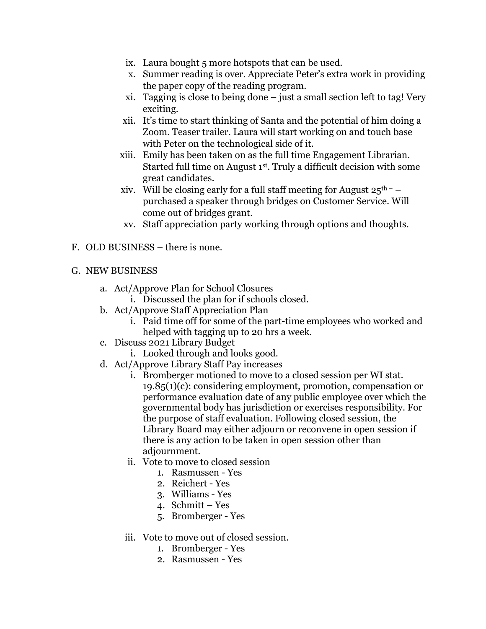- ix. Laura bought 5 more hotspots that can be used.
- x. Summer reading is over. Appreciate Peter's extra work in providing the paper copy of the reading program.
- xi. Tagging is close to being done just a small section left to tag! Very exciting.
- xii. It's time to start thinking of Santa and the potential of him doing a Zoom. Teaser trailer. Laura will start working on and touch base with Peter on the technological side of it.
- xiii. Emily has been taken on as the full time Engagement Librarian. Started full time on August 1st. Truly a difficult decision with some great candidates.
- xiv. Will be closing early for a full staff meeting for August  $25^{\text{th}}$  purchased a speaker through bridges on Customer Service. Will come out of bridges grant.
- xv. Staff appreciation party working through options and thoughts.
- F. OLD BUSINESS there is none.

## G. NEW BUSINESS

- a. Act/Approve Plan for School Closures
	- i. Discussed the plan for if schools closed.
- b. Act/Approve Staff Appreciation Plan
	- i. Paid time off for some of the part-time employees who worked and helped with tagging up to 20 hrs a week.
- c. Discuss 2021 Library Budget
	- i. Looked through and looks good.
- d. Act/Approve Library Staff Pay increases
	- i. Bromberger motioned to move to a closed session per WI stat. 19.85(1)(c): considering employment, promotion, compensation or performance evaluation date of any public employee over which the governmental body has jurisdiction or exercises responsibility. For the purpose of staff evaluation. Following closed session, the Library Board may either adjourn or reconvene in open session if there is any action to be taken in open session other than adjournment.
	- ii. Vote to move to closed session
		- 1. Rasmussen Yes
		- 2. Reichert Yes
		- 3. Williams Yes
		- 4. Schmitt Yes
		- 5. Bromberger Yes
	- iii. Vote to move out of closed session.
		- 1. Bromberger Yes
		- 2. Rasmussen Yes